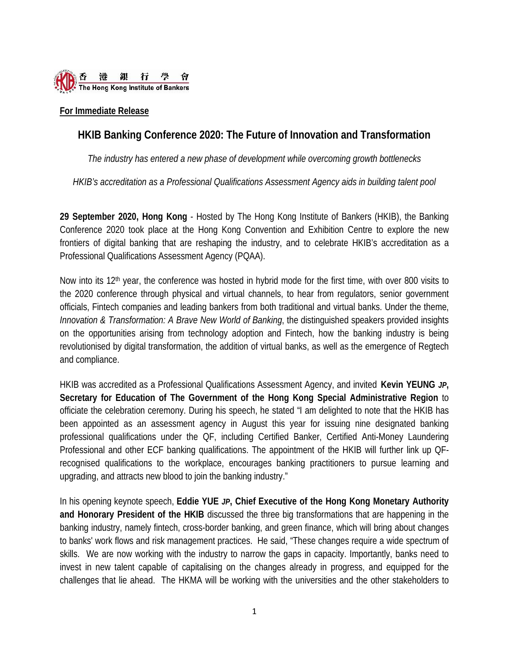

### **For Immediate Release**

# **HKIB Banking Conference 2020: The Future of Innovation and Transformation**

*The industry has entered a new phase of development while overcoming growth bottlenecks*

*HKIB's accreditation as a Professional Qualifications Assessment Agency aids in building talent pool*

**29 September 2020, Hong Kong** - Hosted by The Hong Kong Institute of Bankers (HKIB), the Banking Conference 2020 took place at the Hong Kong Convention and Exhibition Centre to explore the new frontiers of digital banking that are reshaping the industry, and to celebrate HKIB's accreditation as a Professional Qualifications Assessment Agency (PQAA).

Now into its 12<sup>th</sup> year, the conference was hosted in hybrid mode for the first time, with over 800 visits to the 2020 conference through physical and virtual channels, to hear from regulators, senior government officials, Fintech companies and leading bankers from both traditional and virtual banks. Under the theme, *Innovation & Transformation: A Brave New World of Banking*, the distinguished speakers provided insights on the opportunities arising from technology adoption and Fintech, how the banking industry is being revolutionised by digital transformation, the addition of virtual banks, as well as the emergence of Regtech and compliance.

HKIB was accredited as a Professional Qualifications Assessment Agency, and invited **Kevin YEUNG** *JP***, Secretary for Education of The Government of the Hong Kong Special Administrative Region** to officiate the celebration ceremony. During his speech, he stated "I am delighted to note that the HKIB has been appointed as an assessment agency in August this year for issuing nine designated banking professional qualifications under the QF, including Certified Banker, Certified Anti-Money Laundering Professional and other ECF banking qualifications. The appointment of the HKIB will further link up QFrecognised qualifications to the workplace, encourages banking practitioners to pursue learning and upgrading, and attracts new blood to join the banking industry."

In his opening keynote speech, **Eddie YUE** *JP***, Chief Executive of the Hong Kong Monetary Authority and Honorary President of the HKIB** discussed the three big transformations that are happening in the banking industry, namely fintech, cross-border banking, and green finance, which will bring about changes to banks' work flows and risk management practices. He said, "These changes require a wide spectrum of skills. We are now working with the industry to narrow the gaps in capacity. Importantly, banks need to invest in new talent capable of capitalising on the changes already in progress, and equipped for the challenges that lie ahead. The HKMA will be working with the universities and the other stakeholders to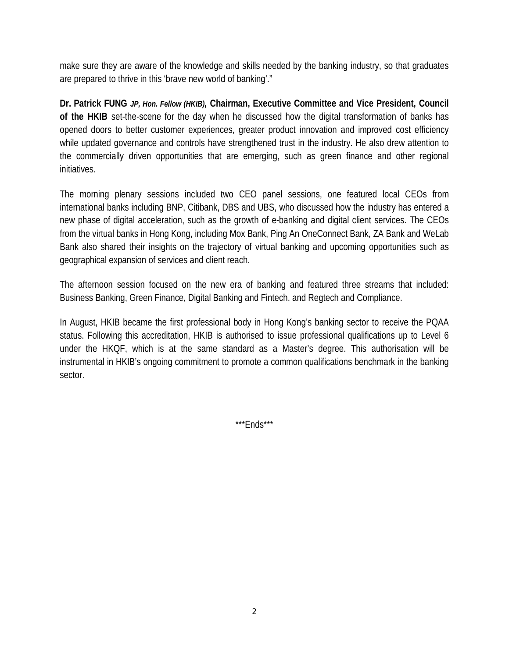make sure they are aware of the knowledge and skills needed by the banking industry, so that graduates are prepared to thrive in this 'brave new world of banking'."

**Dr. Patrick FUNG** *JP, Hon. Fellow (HKIB),* **Chairman, Executive Committee and Vice President, Council of the HKIB** set-the-scene for the day when he discussed how the digital transformation of banks has opened doors to better customer experiences, greater product innovation and improved cost efficiency while updated governance and controls have strengthened trust in the industry. He also drew attention to the commercially driven opportunities that are emerging, such as green finance and other regional initiatives.

The morning plenary sessions included two CEO panel sessions, one featured local CEOs from international banks including BNP, Citibank, DBS and UBS, who discussed how the industry has entered a new phase of digital acceleration, such as the growth of e-banking and digital client services. The CEOs from the virtual banks in Hong Kong, including Mox Bank, Ping An OneConnect Bank, ZA Bank and WeLab Bank also shared their insights on the trajectory of virtual banking and upcoming opportunities such as geographical expansion of services and client reach.

The afternoon session focused on the new era of banking and featured three streams that included: Business Banking, Green Finance, Digital Banking and Fintech, and Regtech and Compliance.

In August, HKIB became the first professional body in Hong Kong's banking sector to receive the PQAA status. Following this accreditation, HKIB is authorised to issue professional qualifications up to Level 6 under the HKQF, which is at the same standard as a Master's degree. This authorisation will be instrumental in HKIB's ongoing commitment to promote a common qualifications benchmark in the banking sector.

\*\*\*Ends\*\*\*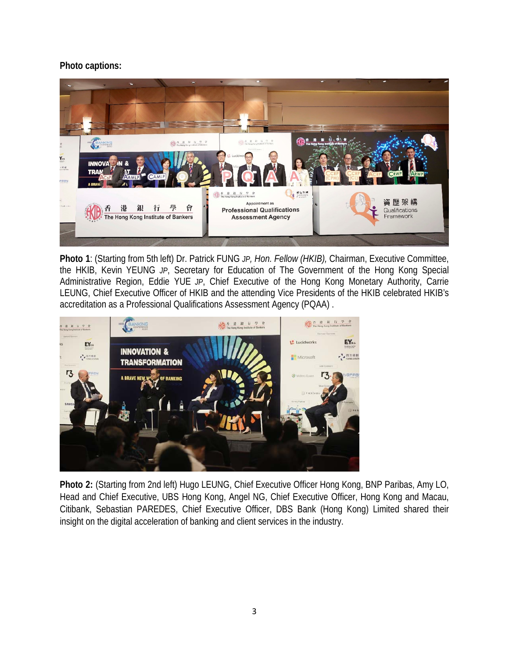## **Photo captions:**



**Photo 1**: (Starting from 5th left) Dr. Patrick FUNG *JP, Hon. Fellow (HKIB),* Chairman, Executive Committee, the HKIB, Kevin YEUNG *JP*, Secretary for Education of The Government of the Hong Kong Special Administrative Region, Eddie YUE *JP*, Chief Executive of the Hong Kong Monetary Authority, Carrie LEUNG, Chief Executive Officer of HKIB and the attending Vice Presidents of the HKIB celebrated HKIB's accreditation as a Professional Qualifications Assessment Agency (PQAA) .



**Photo 2:** (Starting from 2nd left) Hugo LEUNG, Chief Executive Officer Hong Kong, BNP Paribas, Amy LO, Head and Chief Executive, UBS Hong Kong, Angel NG, Chief Executive Officer, Hong Kong and Macau, Citibank, Sebastian PAREDES, Chief Executive Officer, DBS Bank (Hong Kong) Limited shared their insight on the digital acceleration of banking and client services in the industry.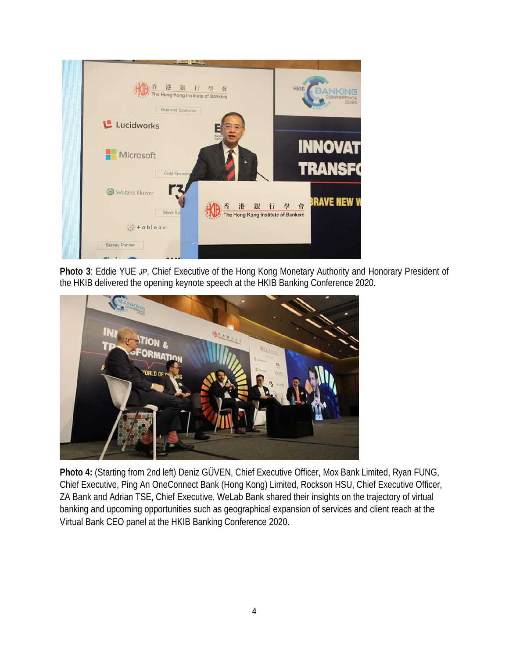

**Photo 3**: Eddie YUE *JP*, Chief Executive of the Hong Kong Monetary Authority and Honorary President of the HKIB delivered the opening keynote speech at the HKIB Banking Conference 2020.



**Photo 4:** (Starting from 2nd left) Deniz GÜVEN, Chief Executive Officer, Mox Bank Limited, Ryan FUNG, Chief Executive, Ping An OneConnect Bank (Hong Kong) Limited, Rockson HSU, Chief Executive Officer, ZA Bank and Adrian TSE, Chief Executive, WeLab Bank shared their insights on the trajectory of virtual banking and upcoming opportunities such as geographical expansion of services and client reach at the Virtual Bank CEO panel at the HKIB Banking Conference 2020.